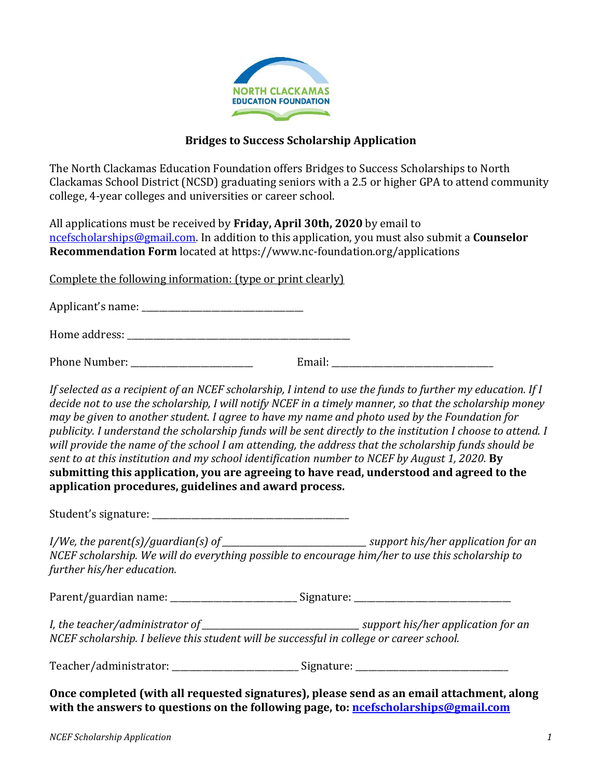

## **Bridges to Success Scholarship Application**

The North Clackamas Education Foundation offers Bridges to Success Scholarships to North Clackamas School District (NCSD) graduating seniors with a 2.5 or higher GPA to attend community college, 4-year colleges and universities or career school.

All applications must be received by **Friday, April 30th, 2020** by email to [ncefscholarships@gmail.com.](mailto:ncefscholarships@gmail.com) In addition to this application, you must also submit a **Counselor Recommendation Form** located at https://www.nc-foundation.org/applications

Complete the following information: (type or print clearly)

Applicant's name: \_\_\_\_\_\_\_\_\_\_\_\_\_\_\_\_\_\_\_\_\_\_\_\_\_\_\_\_\_\_\_\_\_\_\_\_\_

Home address: \_\_\_\_\_\_\_\_\_\_\_\_\_\_\_\_\_\_\_\_\_\_\_\_\_\_\_\_\_\_\_\_\_\_\_\_\_\_\_\_\_\_\_\_\_\_\_\_\_\_\_

| Phone Number: |  |  |
|---------------|--|--|
|---------------|--|--|

*If selected as a recipient of an NCEF scholarship, I intend to use the funds to further my education. If I decide not to use the scholarship, I will notify NCEF in a timely manner, so that the scholarship money may be given to another student. I agree to have my name and photo used by the Foundation for publicity. I understand the scholarship funds will be sent directly to the institution I choose to attend. I will provide the name of the school I am attending, the address that the scholarship funds should be sent to at this institution and my school identification number to NCEF by August 1, 2020.* **By submitting this application, you are agreeing to have read, understood and agreed to the application procedures, guidelines and award process.** 

Student's signature: \_\_\_\_\_\_\_\_\_\_\_\_\_\_\_\_\_\_\_\_\_\_\_\_\_\_\_\_\_\_\_\_\_\_\_\_\_\_\_\_\_\_\_\_\_

*I/We, the parent(s)/guardian(s) of*  $\blacksquare$ *NCEF scholarship. We will do everything possible to encourage him/her to use this scholarship to further his/her education.*

Parent/guardian name: \_\_\_\_\_\_\_\_\_\_\_\_\_\_\_\_\_\_\_\_\_\_\_\_\_\_\_\_\_ Signature: \_\_\_\_\_\_\_\_\_\_\_\_\_\_\_\_\_\_\_\_\_\_\_\_\_\_\_\_\_\_\_\_\_\_\_\_

*I, the teacher/administrator of \_\_\_\_\_\_\_\_\_\_\_\_\_\_\_\_\_\_\_\_\_\_\_\_\_\_\_\_\_\_\_\_\_\_\_\_ support his/her application for an NCEF scholarship. I believe this student will be successful in college or career school.*

Teacher/administrator: \_\_\_\_\_\_\_\_\_\_\_\_\_\_\_\_\_\_\_\_\_\_\_\_\_\_\_\_\_ Signature: \_\_\_\_\_\_\_\_\_\_\_\_\_\_\_\_\_\_\_\_\_\_\_\_\_\_\_\_\_\_\_\_\_\_\_

**Once completed (with all requested signatures), please send as an email attachment, along with the answers to questions on the following page, to: [ncefscholarships@gmail.com](mailto:ncefscholarships@gmail.com)**